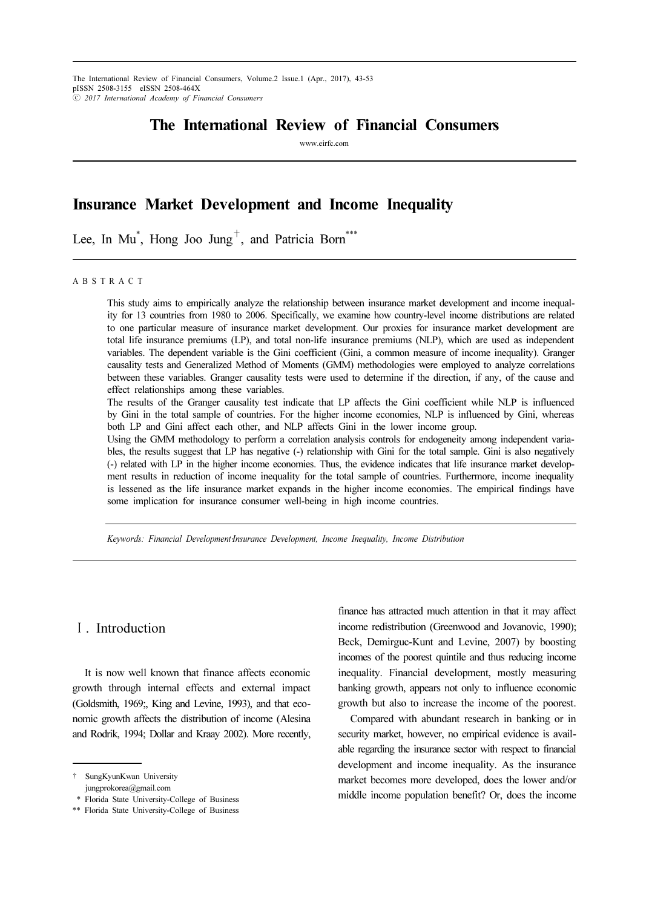The International Review of Financial Consumers, Volume.2 Issue.1 (Apr., 2017), 43-53 pISSN 2508-3155 eISSN 2508-464X ⓒ 2017 International Academy of Financial Consumers

# The International Review of Financial Consumers

www.eirfc.com

# Insurance Market Development and Income Inequality

Lee, In Mu<sup>\*</sup>, Hong Joo Jung<sup>+</sup>, and Patricia Born<sup>\*\*\*</sup>

A B S T R A C T

This study aims to empirically analyze the relationship between insurance market development and income inequality for 13 countries from 1980 to 2006. Specifically, we examine how country-level income distributions are related to one particular measure of insurance market development. Our proxies for insurance market development are total life insurance premiums (LP), and total non-life insurance premiums (NLP), which are used as independent variables. The dependent variable is the Gini coefficient (Gini, a common measure of income inequality). Granger causality tests and Generalized Method of Moments (GMM) methodologies were employed to analyze correlations between these variables. Granger causality tests were used to determine if the direction, if any, of the cause and effect relationships among these variables.

The results of the Granger causality test indicate that LP affects the Gini coefficient while NLP is influenced by Gini in the total sample of countries. For the higher income economies, NLP is influenced by Gini, whereas both LP and Gini affect each other, and NLP affects Gini in the lower income group.

Using the GMM methodology to perform a correlation analysis controls for endogeneity among independent variables, the results suggest that LP has negative (-) relationship with Gini for the total sample. Gini is also negatively (-) related with LP in the higher income economies. Thus, the evidence indicates that life insurance market development results in reduction of income inequality for the total sample of countries. Furthermore, income inequality is lessened as the life insurance market expands in the higher income economies. The empirical findings have some implication for insurance consumer well-being in high income countries.

Keywords: Financial Development-Insurance Development, Income Inequality, Income Distribution

# Ⅰ. Introduction

It is now well known that finance affects economic growth through internal effects and external impact (Goldsmith, 1969;, King and Levine, 1993), and that economic growth affects the distribution of income (Alesina and Rodrik, 1994; Dollar and Kraay 2002). More recently, finance has attracted much attention in that it may affect income redistribution (Greenwood and Jovanovic, 1990); Beck, Demirguc-Kunt and Levine, 2007) by boosting incomes of the poorest quintile and thus reducing income inequality. Financial development, mostly measuring banking growth, appears not only to influence economic growth but also to increase the income of the poorest.

Compared with abundant research in banking or in security market, however, no empirical evidence is available regarding the insurance sector with respect to financial development and income inequality. As the insurance market becomes more developed, does the lower and/or middle income population benefit? Or, does the income

<sup>†</sup> SungKyunKwan University jungprokorea@gmail.com

<sup>\*</sup> Florida State University-College of Business

<sup>\*\*</sup> Florida State University-College of Business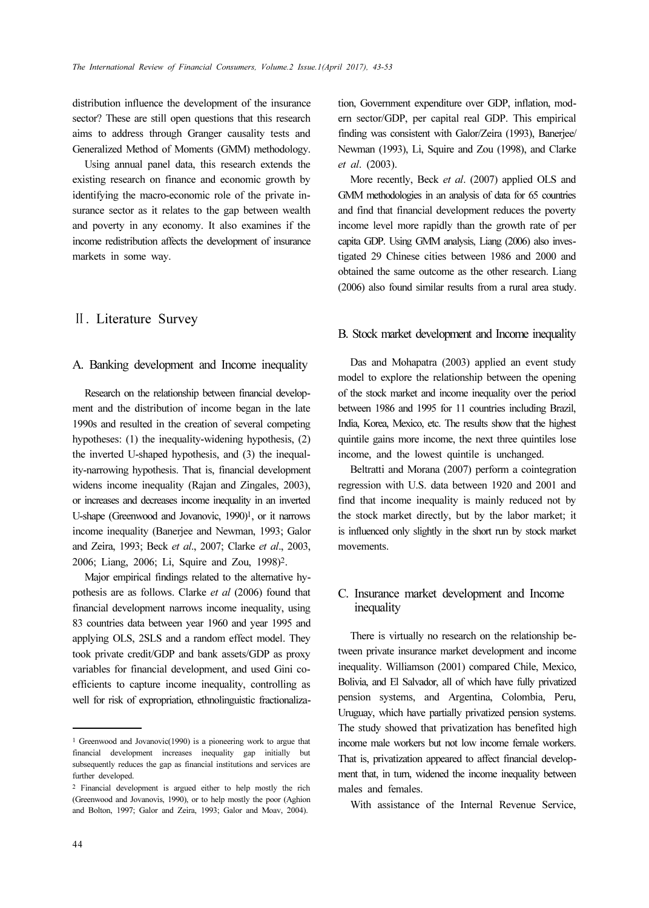distribution influence the development of the insurance sector? These are still open questions that this research aims to address through Granger causality tests and Generalized Method of Moments (GMM) methodology.

Using annual panel data, this research extends the existing research on finance and economic growth by identifying the macro-economic role of the private insurance sector as it relates to the gap between wealth and poverty in any economy. It also examines if the income redistribution affects the development of insurance markets in some way.

# Ⅱ. Literature Survey

### A. Banking development and Income inequality

Research on the relationship between financial development and the distribution of income began in the late 1990s and resulted in the creation of several competing hypotheses: (1) the inequality-widening hypothesis, (2) the inverted U-shaped hypothesis, and (3) the inequality-narrowing hypothesis. That is, financial development widens income inequality (Rajan and Zingales, 2003), or increases and decreases income inequality in an inverted U-shape (Greenwood and Jovanovic, 1990)1, or it narrows income inequality (Banerjee and Newman, 1993; Galor and Zeira, 1993; Beck et al., 2007; Clarke et al., 2003, 2006; Liang, 2006; Li, Squire and Zou, 1998)2.

Major empirical findings related to the alternative hypothesis are as follows. Clarke et al (2006) found that financial development narrows income inequality, using 83 countries data between year 1960 and year 1995 and applying OLS, 2SLS and a random effect model. They took private credit/GDP and bank assets/GDP as proxy variables for financial development, and used Gini coefficients to capture income inequality, controlling as well for risk of expropriation, ethnolinguistic fractionalization, Government expenditure over GDP, inflation, modern sector/GDP, per capital real GDP. This empirical finding was consistent with Galor/Zeira (1993), Banerjee/ Newman (1993), Li, Squire and Zou (1998), and Clarke et al. (2003).

More recently, Beck et al. (2007) applied OLS and GMM methodologies in an analysis of data for 65 countries and find that financial development reduces the poverty income level more rapidly than the growth rate of per capita GDP. Using GMM analysis, Liang (2006) also investigated 29 Chinese cities between 1986 and 2000 and obtained the same outcome as the other research. Liang (2006) also found similar results from a rural area study.

#### B. Stock market development and Income inequality

Das and Mohapatra (2003) applied an event study model to explore the relationship between the opening of the stock market and income inequality over the period between 1986 and 1995 for 11 countries including Brazil, India, Korea, Mexico, etc. The results show that the highest quintile gains more income, the next three quintiles lose income, and the lowest quintile is unchanged.

Beltratti and Morana (2007) perform a cointegration regression with U.S. data between 1920 and 2001 and find that income inequality is mainly reduced not by the stock market directly, but by the labor market; it is influenced only slightly in the short run by stock market movements.

## C. Insurance market development and Income inequality

There is virtually no research on the relationship between private insurance market development and income inequality. Williamson (2001) compared Chile, Mexico, Bolivia, and El Salvador, all of which have fully privatized pension systems, and Argentina, Colombia, Peru, Uruguay, which have partially privatized pension systems. The study showed that privatization has benefited high income male workers but not low income female workers. That is, privatization appeared to affect financial development that, in turn, widened the income inequality between males and females.

With assistance of the Internal Revenue Service,

<sup>1</sup> Greenwood and Jovanovic(1990) is a pioneering work to argue that financial development increases inequality gap initially but subsequently reduces the gap as financial institutions and services are further developed.

<sup>2</sup> Financial development is argued either to help mostly the rich (Greenwood and Jovanovis, 1990), or to help mostly the poor (Aghion and Bolton, 1997; Galor and Zeira, 1993; Galor and Moav, 2004).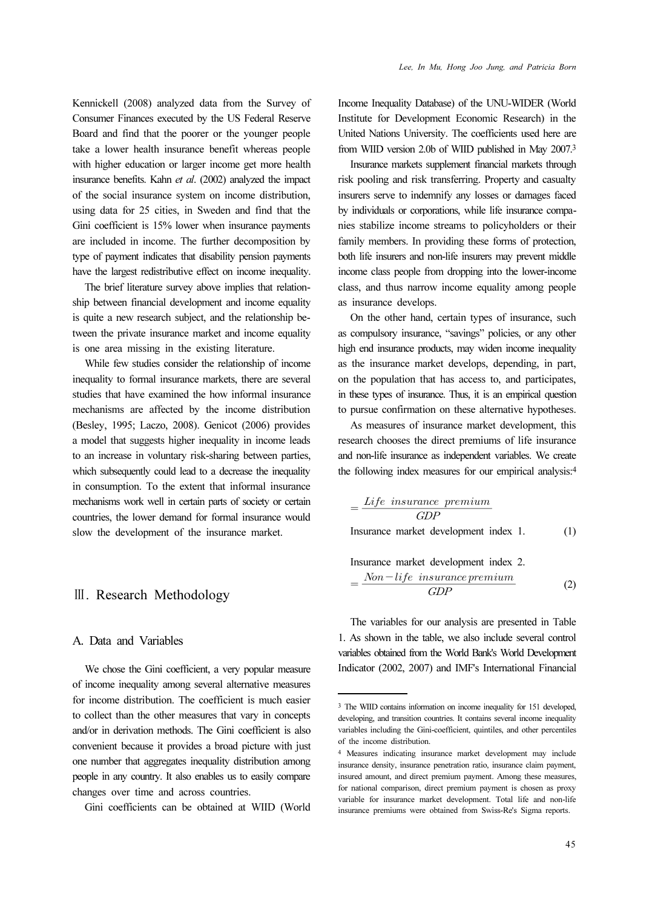Kennickell (2008) analyzed data from the Survey of Consumer Finances executed by the US Federal Reserve Board and find that the poorer or the younger people take a lower health insurance benefit whereas people with higher education or larger income get more health insurance benefits. Kahn et al. (2002) analyzed the impact of the social insurance system on income distribution, using data for 25 cities, in Sweden and find that the Gini coefficient is 15% lower when insurance payments are included in income. The further decomposition by type of payment indicates that disability pension payments have the largest redistributive effect on income inequality.

The brief literature survey above implies that relationship between financial development and income equality is quite a new research subject, and the relationship between the private insurance market and income equality is one area missing in the existing literature.

While few studies consider the relationship of income inequality to formal insurance markets, there are several studies that have examined the how informal insurance mechanisms are affected by the income distribution (Besley, 1995; Laczo, 2008). Genicot (2006) provides a model that suggests higher inequality in income leads to an increase in voluntary risk-sharing between parties, which subsequently could lead to a decrease the inequality in consumption. To the extent that informal insurance mechanisms work well in certain parts of society or certain countries, the lower demand for formal insurance would slow the development of the insurance market.

# Ⅲ. Research Methodology

# A. Data and Variables

We chose the Gini coefficient, a very popular measure of income inequality among several alternative measures for income distribution. The coefficient is much easier to collect than the other measures that vary in concepts and/or in derivation methods. The Gini coefficient is also convenient because it provides a broad picture with just one number that aggregates inequality distribution among people in any country. It also enables us to easily compare changes over time and across countries.

Gini coefficients can be obtained at WIID (World

Income Inequality Database) of the UNU-WIDER (World Institute for Development Economic Research) in the United Nations University. The coefficients used here are from WIID version 2.0b of WIID published in May 2007.<sup>3</sup>

Insurance markets supplement financial markets through risk pooling and risk transferring. Property and casualty insurers serve to indemnify any losses or damages faced by individuals or corporations, while life insurance companies stabilize income streams to policyholders or their family members. In providing these forms of protection, both life insurers and non-life insurers may prevent middle income class people from dropping into the lower-income class, and thus narrow income equality among people as insurance develops. *Lee, In Mu, Hong Joo Ji*<br>come Inequality Database) of the U<br>titute for Development Economi<br>ited Nations University. The coeff<br>m WIID version 2.0b of WIID pub<br>Insurance markets supplement finar<br>x pooling and risk transfer *Lee, In Mu, Hong Joo Jung, as*<br>
onne Inequality Database) of the UNU-Vittutte for Development Economic Re-<br>
ited Nations University. The coefficients<br>
in WIID version 2.0b of WIID published<br>
Insurance markets supplement

On the other hand, certain types of insurance, such as compulsory insurance, "savings" policies, or any other high end insurance products, may widen income inequality as the insurance market develops, depending, in part, on the population that has access to, and participates, in these types of insurance. Thus, it is an empirical question to pursue confirmation on these alternative hypotheses.

As measures of insurance market development, this research chooses the direct premiums of life insurance and non-life insurance as independent variables. We create the following index measures for our empirical analysis:<sup>4</sup>

$$
=\frac{Life\ insurance\ premium}{GDP}
$$
  
Insurance market development index 1. (1)

Insurance market development index 2.

$$
=\frac{Non-life\ insurance\ premium}{GDP}
$$
 (2)

The variables for our analysis are presented in Table 1. As shown in the table, we also include several control variables obtained from the World Bank's World Development Indicator (2002, 2007) and IMF's International Financial

<sup>3</sup> The WIID contains information on income inequality for 151 developed, developing, and transition countries. It contains several income inequality variables including the Gini-coefficient, quintiles, and other percentiles of the income distribution.

<sup>4</sup> Measures indicating insurance market development may include insurance density, insurance penetration ratio, insurance claim payment, insured amount, and direct premium payment. Among these measures, for national comparison, direct premium payment is chosen as proxy variable for insurance market development. Total life and non-life insurance premiums were obtained from Swiss-Re's Sigma reports.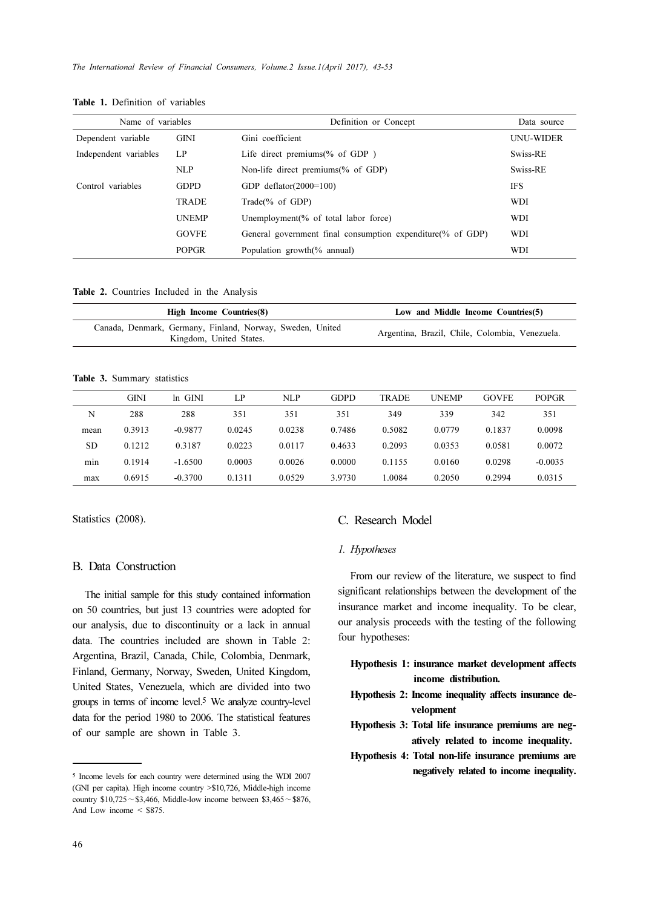| Name of variables                |              | Definition or Concept                                      | Data source      |
|----------------------------------|--------------|------------------------------------------------------------|------------------|
| Dependent variable               | <b>GINI</b>  | Gini coefficient                                           | <b>UNU-WIDER</b> |
| Independent variables            | LP           | Life direct premiums $%$ of GDP $)$                        | Swiss-RE         |
|                                  | <b>NLP</b>   | Non-life direct premiums (% of GDP)                        | Swiss-RE         |
| Control variables<br><b>GDPD</b> |              | GDP deflator $(2000=100)$                                  | <b>IFS</b>       |
|                                  | <b>TRADE</b> | Trade(% of GDP)                                            | <b>WDI</b>       |
|                                  | <b>UNEMP</b> | Unemployment(% of total labor force)                       | WDI              |
|                                  | <b>GOVFE</b> | General government final consumption expenditure(% of GDP) | <b>WDI</b>       |
|                                  | <b>POPGR</b> | Population growth(% annual)                                | WDI              |

Table 1. Definition of variables

Table 2. Countries Included in the Analysis

| <b>High Income Countries (8)</b>                                                     | Low and Middle Income Countries(5)             |
|--------------------------------------------------------------------------------------|------------------------------------------------|
| Canada, Denmark, Germany, Finland, Norway, Sweden, United<br>Kingdom, United States. | Argentina, Brazil, Chile, Colombia, Venezuela. |

#### Table 3. Summary statistics

|           | <b>GINI</b> | ln GINI   | LP.    | <b>NLP</b> | <b>GDPD</b> | <b>TRADE</b> | <b>UNEMP</b> | <b>GOVFE</b> | <b>POPGR</b> |
|-----------|-------------|-----------|--------|------------|-------------|--------------|--------------|--------------|--------------|
| N         | 288         | 288       | 351    | 351        | 351         | 349          | 339          | 342          | 351          |
| mean      | 0.3913      | $-0.9877$ | 0.0245 | 0.0238     | 0.7486      | 0.5082       | 0.0779       | 0.1837       | 0.0098       |
| <b>SD</b> | 0.1212      | 0.3187    | 0.0223 | 0.0117     | 0.4633      | 0.2093       | 0.0353       | 0.0581       | 0.0072       |
| min       | 0.1914      | $-1.6500$ | 0.0003 | 0.0026     | 0.0000      | 0.1155       | 0.0160       | 0.0298       | $-0.0035$    |
| max       | 0.6915      | $-0.3700$ | 0.1311 | 0.0529     | 3.9730      | 1.0084       | 0.2050       | 0.2994       | 0.0315       |

Statistics (2008).

### B. Data Construction

The initial sample for this study contained information on 50 countries, but just 13 countries were adopted for our analysis, due to discontinuity or a lack in annual data. The countries included are shown in Table 2: Argentina, Brazil, Canada, Chile, Colombia, Denmark, Finland, Germany, Norway, Sweden, United Kingdom, United States, Venezuela, which are divided into two groups in terms of income level.5 We analyze country-level data for the period 1980 to 2006. The statistical features of our sample are shown in Table 3.

# C. Research Model

#### 1. Hypotheses

From our review of the literature, we suspect to find significant relationships between the development of the insurance market and income inequality. To be clear, our analysis proceeds with the testing of the following four hypotheses:

### Hypothesis 1: insurance market development affects income distribution.

- Hypothesis 2: Income inequality affects insurance development
- Hypothesis 3: Total life insurance premiums are negatively related to income inequality.
- Hypothesis 4: Total non-life insurance premiums are negatively related to income inequality.

<sup>5</sup> Income levels for each country were determined using the WDI 2007 (GNI per capita). High income country >\$10,726, Middle-high income country \$10,725∼\$3,466, Middle-low income between \$3,465∼\$876, And Low income < \$875.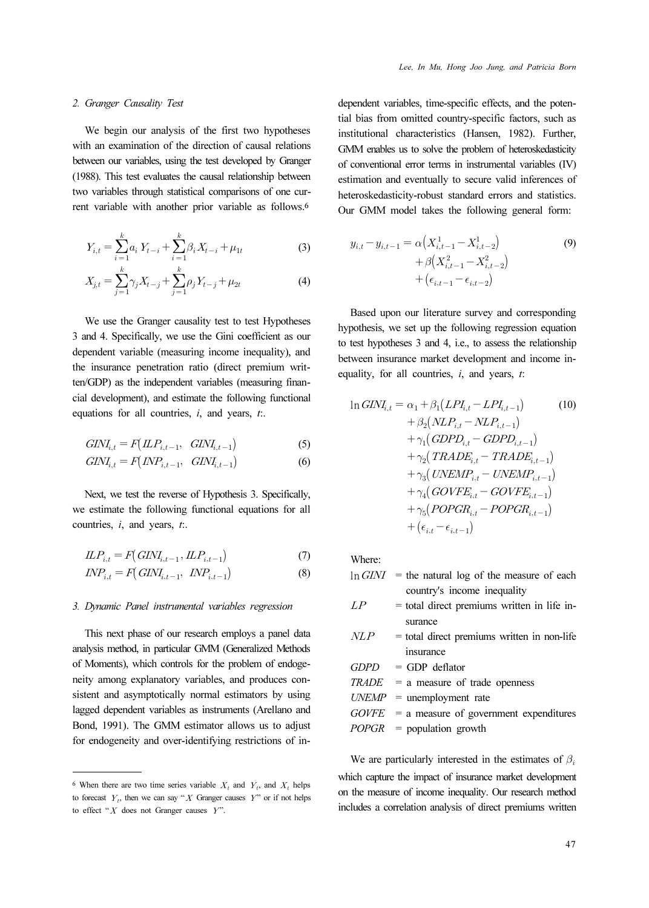### 2. Granger Causality Test

We begin our analysis of the first two hypotheses with an examination of the direction of causal relations between our variables, using the test developed by Granger (1988). This test evaluates the causal relationship between two variables through statistical comparisons of one current variable with another prior variable as follows.<sup>6</sup>

$$
Y_{i,t} = \sum_{i=1}^{k} a_i Y_{t-i} + \sum_{i=1}^{k} \beta_i X_{t-i} + \mu_{1t}
$$
 (3)

$$
X_{j,t} = \sum_{j=1}^{k} \gamma_j X_{t-j} + \sum_{j=1}^{k} \rho_j Y_{t-j} + \mu_{2t}
$$
 (4)

We use the Granger causality test to test Hypotheses 3 and 4. Specifically, we use the Gini coefficient as our dependent variable (measuring income inequality), and the insurance penetration ratio (direct premium written/GDP) as the independent variables (measuring financial development), and estimate the following functional equations for all countries,  $i$ , and years,  $t$ .

$$
GINI_{i,t} = F(ILP_{i,t-1}, \quad GINI_{i,t-1})
$$
\n
$$
\tag{5}
$$

$$
GINI_{i,t} = F\left(NP_{i,t-1}, \quad GINI_{i,t-1}\right) \tag{6}
$$

Next, we test the reverse of Hypothesis 3. Specifically, we estimate the following functional equations for all countries,  $i$ , and years,  $t$ .

$$
ILP_{i,t} = F\left(GINI_{i,t-1}, ILP_{i,t-1}\right) \tag{7}
$$

$$
INP_{i,t} = F\left(GINI_{i,t-1}, \; INP_{i,t-1}\right) \tag{8}
$$

#### 3. Dynamic Panel instrumental variables regression

This next phase of our research employs a panel data analysis method, in particular GMM (Generalized Methods of Moments), which controls for the problem of endogeneity among explanatory variables, and produces consistent and asymptotically normal estimators by using lagged dependent variables as instruments (Arellano and Bond, 1991). The GMM estimator allows us to adjust for endogeneity and over-identifying restrictions of independent variables, time-specific effects, and the potential bias from omitted country-specific factors, such as institutional characteristics (Hansen, 1982). Further, GMM enables us to solve the problem of heteroskedasticity of conventional error terms in instrumental variables (IV) estimation and eventually to secure valid inferences of heteroskedasticity-robust standard errors and statistics. Our GMM model takes the following general form:

$$
y_{i,t} - y_{i,t-1} = \alpha \left( X_{i,t-1}^1 - X_{i,t-2}^1 \right) + \beta \left( X_{i,t-1}^2 - X_{i,t-2}^2 \right) + \left( \epsilon_{i,t-1} - \epsilon_{i,t-2} \right)
$$
\n(9)

Based upon our literature survey and corresponding hypothesis, we set up the following regression equation to test hypotheses 3 and 4, i.e., to assess the relationship between insurance market development and income inequality, for all countries,  $i$ , and years,  $t$ :

$$
\ln GINI_{i,t} = \alpha_1 + \beta_1 (LPI_{i,t} - LPI_{i,t-1})
$$
\n
$$
+ \beta_2 (NLP_{i,t} - NLP_{i,t-1})
$$
\n
$$
+ \gamma_1 (GDPD_{i,t} - GDPD_{i,t-1})
$$
\n
$$
+ \gamma_2 (TRADE_{i,t} - TRADE_{i,t-1})
$$
\n
$$
+ \gamma_3 (UNEMP_{i,t} - UNEMP_{i,t-1})
$$
\n
$$
+ \gamma_4 (GOVFE_{i,t} - GOVFE_{i,t-1})
$$
\n
$$
+ \gamma_5 (POPGR_{i,t} - POPGR_{i,t-1})
$$
\n
$$
+ (\epsilon_{i,t} - \epsilon_{i,t-1})
$$

Where:

|     | $\ln$ GINI = the natural log of the measure of each |
|-----|-----------------------------------------------------|
|     | country's income inequality                         |
| LP  | = total direct premiums written in life in-         |
|     | surance                                             |
| NLP | $=$ total direct premiums written in non-life       |
|     | insurance                                           |
|     | $GDPD = GDP$ deflator                               |
|     | $TRADE = a$ measure of trade openness               |
|     | $UNEMP$ = unemployment rate                         |
|     | $GOVFE$ = a measure of government expenditures      |
|     | $POPGR = population growth$                         |
|     |                                                     |

We are particularly interested in the estimates of  $\beta_i$ which capture the impact of insurance market development on the measure of income inequality. Our research method includes a correlation analysis of direct premiums written

<sup>&</sup>lt;sup>6</sup> When there are two time series variable  $X_t$  and  $Y_t$ , and  $X_t$  helps to forecast  $Y_i$ , then we can say " X Granger causes Y" or if not helps to effect " $X$  does not Granger causes  $Y$ ".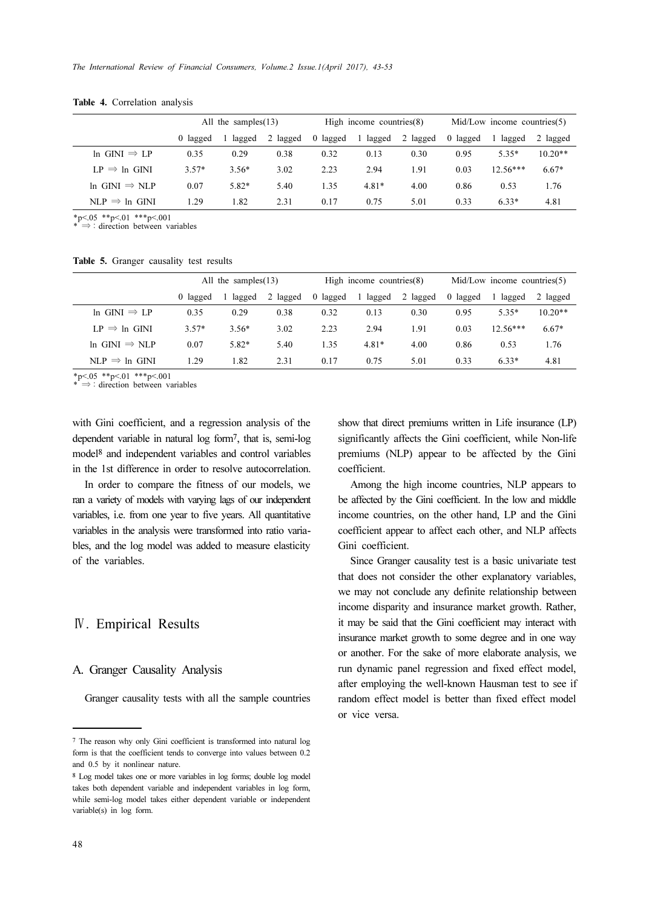|                             | All the samples $(13)$ |          |          | High income countries $(8)$ |          |          | Mid/Low income countries(5) |            |           |
|-----------------------------|------------------------|----------|----------|-----------------------------|----------|----------|-----------------------------|------------|-----------|
|                             | 0 lagged               | 1 lagged | 2 lagged | 0 lagged                    | 1 lagged | 2 lagged | 0 lagged                    | lagged     | 2 lagged  |
| $\ln$ GINI $\Rightarrow$ LP | 0.35                   | 0.29     | 0.38     | 0.32                        | 0.13     | 0.30     | 0.95                        | $5.35*$    | $10.20**$ |
| $LP \Rightarrow$ ln GINI    | $3.57*$                | $3.56*$  | 3.02     | 2.23                        | 2.94     | 1.91     | 0.03                        | $12.56***$ | $6.67*$   |
| In GINI $\Rightarrow$ NLP   | 0.07                   | 5.82*    | 5.40     | 1.35                        | $4.81*$  | 4.00     | 0.86                        | 0.53       | 1.76      |
| $NLP \Rightarrow ln$ GINI   | 1.29                   | 1.82     | 2.31     | 0.17                        | 0.75     | 5.01     | 0.33                        | $6.33*$    | 4.81      |

Table 4. Correlation analysis

 $*p<05$   $*p<01$   $**p<001$ 

 $\Rightarrow$ : direction between variables

Table 5. Granger causality test results

|                            | All the samples $(13)$ |         |          | High income countries $(8)$ |        |          | Mid/Low income countries(5) |            |           |
|----------------------------|------------------------|---------|----------|-----------------------------|--------|----------|-----------------------------|------------|-----------|
|                            | 0 lagged               | lagged  | 2 lagged | 0 lagged                    | lagged | 2 lagged | 0 lagged                    | lagged     | 2 lagged  |
| $ln$ GINI $\Rightarrow$ LP | 0.35                   | 0.29    | 0.38     | 0.32                        | 0.13   | 0.30     | 0.95                        | $5.35*$    | $10.20**$ |
| $LP \Rightarrow In$ GINI   | $3.57*$                | $3.56*$ | 3.02     | 2.23                        | 2.94   | 1.91     | 0.03                        | $12.56***$ | $6.67*$   |
| In GINI $\Rightarrow$ NLP  | 0.07                   | 5.82*   | 5.40     | 1.35                        | 4.81*  | 4.00     | 0.86                        | 0.53       | 1.76      |
| $NLP \Rightarrow In$ GINI  | 1.29                   | 1.82    | 2.31     | 0.17                        | 0.75   | 5.01     | 0.33                        | $6.33*$    | 4.81      |

 $*p<05$  \*\*p<01 \*\*\*p<001

\* ⇒:direction between variables

with Gini coefficient, and a regression analysis of the dependent variable in natural log form7, that is, semi-log model8 and independent variables and control variables in the 1st difference in order to resolve autocorrelation.

In order to compare the fitness of our models, we ran a variety of models with varying lags of our independent variables, i.e. from one year to five years. All quantitative variables in the analysis were transformed into ratio variables, and the log model was added to measure elasticity of the variables.

# Ⅳ. Empirical Results

### A. Granger Causality Analysis

Granger causality tests with all the sample countries

show that direct premiums written in Life insurance (LP) significantly affects the Gini coefficient, while Non-life premiums (NLP) appear to be affected by the Gini coefficient.

Among the high income countries, NLP appears to be affected by the Gini coefficient. In the low and middle income countries, on the other hand, LP and the Gini coefficient appear to affect each other, and NLP affects Gini coefficient.

Since Granger causality test is a basic univariate test that does not consider the other explanatory variables, we may not conclude any definite relationship between income disparity and insurance market growth. Rather, it may be said that the Gini coefficient may interact with insurance market growth to some degree and in one way or another. For the sake of more elaborate analysis, we run dynamic panel regression and fixed effect model, after employing the well-known Hausman test to see if random effect model is better than fixed effect model or vice versa.

<sup>7</sup> The reason why only Gini coefficient is transformed into natural log form is that the coefficient tends to converge into values between 0.2 and 0.5 by it nonlinear nature.

<sup>8</sup> Log model takes one or more variables in log forms; double log model takes both dependent variable and independent variables in log form, while semi-log model takes either dependent variable or independent variable(s) in log form.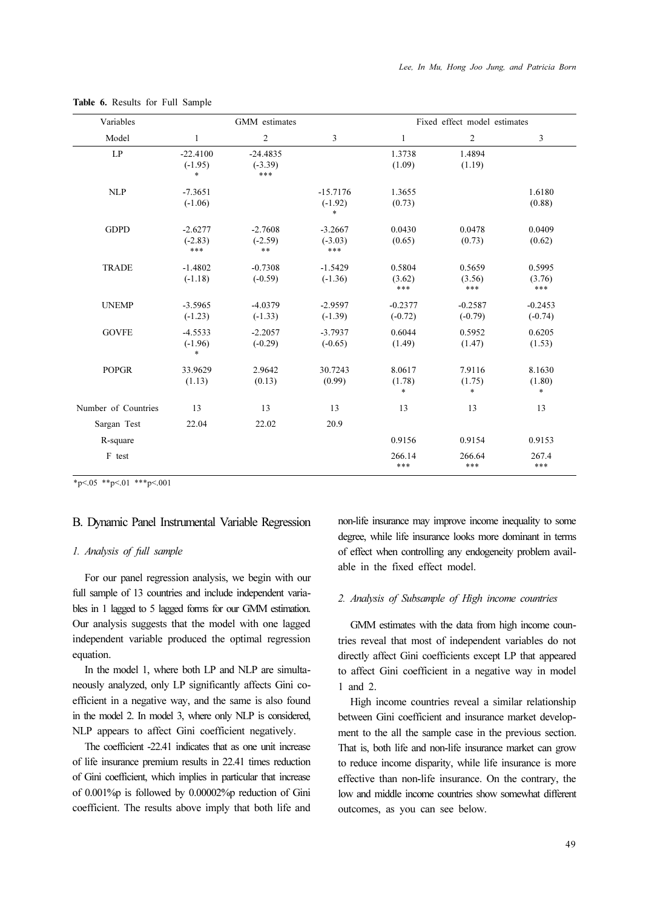| Variables           |                    | GMM estimates      |                     |                  | Fixed effect model estimates |                  |
|---------------------|--------------------|--------------------|---------------------|------------------|------------------------------|------------------|
| Model               | $\mathbf{1}$       | 2                  | $\overline{3}$      | 1                | 2                            | 3                |
| LP                  | $-22.4100$         | $-24.4835$         |                     | 1.3738           | 1.4894                       |                  |
|                     | $(-1.95)$<br>*     | $(-3.39)$<br>***   |                     | (1.09)           | (1.19)                       |                  |
| <b>NLP</b>          | $-7.3651$          |                    | $-15.7176$          | 1.3655           |                              | 1.6180           |
|                     | $(-1.06)$          |                    | $(-1.92)$<br>$\ast$ | (0.73)           |                              | (0.88)           |
| <b>GDPD</b>         | $-2.6277$          | $-2.7608$          | $-3.2667$           | 0.0430           | 0.0478                       | 0.0409           |
|                     | $(-2.83)$<br>$***$ | $(-2.59)$<br>$* *$ | $(-3.03)$<br>$***$  | (0.65)           | (0.73)                       | (0.62)           |
| <b>TRADE</b>        | $-1.4802$          | $-0.7308$          | $-1.5429$           | 0.5804           | 0.5659                       | 0.5995           |
|                     | $(-1.18)$          | $(-0.59)$          | $(-1.36)$           | (3.62)<br>***    | (3.56)<br>***                | (3.76)<br>***    |
| <b>UNEMP</b>        | $-3.5965$          | $-4.0379$          | $-2.9597$           | $-0.2377$        | $-0.2587$                    | $-0.2453$        |
|                     | $(-1.23)$          | $(-1.33)$          | $(-1.39)$           | $(-0.72)$        | $(-0.79)$                    | $(-0.74)$        |
| <b>GOVFE</b>        | $-4.5533$          | $-2.2057$          | $-3.7937$           | 0.6044           | 0.5952                       | 0.6205           |
|                     | $(-1.96)$<br>*     | $(-0.29)$          | $(-0.65)$           | (1.49)           | (1.47)                       | (1.53)           |
| <b>POPGR</b>        | 33.9629            | 2.9642             | 30.7243             | 8.0617           | 7.9116                       | 8.1630           |
|                     | (1.13)             | (0.13)             | (0.99)              | (1.78)<br>$\ast$ | (1.75)<br>$\ast$             | (1.80)<br>$\ast$ |
| Number of Countries | 13                 | 13                 | 13                  | 13               | 13                           | 13               |
| Sargan Test         | 22.04              | 22.02              | 20.9                |                  |                              |                  |
| R-square            |                    |                    |                     | 0.9156           | 0.9154                       | 0.9153           |
| F test              |                    |                    |                     | 266.14<br>***    | 266.64<br>***                | 267.4<br>$***$   |

Table 6. Results for Full Sample

 $*_{p<.05}$   $*_{p<.01}$   $*_{p<.001}$ 

#### B. Dynamic Panel Instrumental Variable Regression

### 1. Analysis of full sample

For our panel regression analysis, we begin with our full sample of 13 countries and include independent variables in 1 lagged to 5 lagged forms for our GMM estimation. Our analysis suggests that the model with one lagged independent variable produced the optimal regression equation.

In the model 1, where both LP and NLP are simultaneously analyzed, only LP significantly affects Gini coefficient in a negative way, and the same is also found in the model 2. In model 3, where only NLP is considered, NLP appears to affect Gini coefficient negatively.

The coefficient -22.41 indicates that as one unit increase of life insurance premium results in 22.41 times reduction of Gini coefficient, which implies in particular that increase of 0.001%p is followed by 0.00002%p reduction of Gini coefficient. The results above imply that both life and non-life insurance may improve income inequality to some degree, while life insurance looks more dominant in terms of effect when controlling any endogeneity problem available in the fixed effect model.

#### 2. Analysis of Subsample of High income countries

GMM estimates with the data from high income countries reveal that most of independent variables do not directly affect Gini coefficients except LP that appeared to affect Gini coefficient in a negative way in model 1 and 2.

High income countries reveal a similar relationship between Gini coefficient and insurance market development to the all the sample case in the previous section. That is, both life and non-life insurance market can grow to reduce income disparity, while life insurance is more effective than non-life insurance. On the contrary, the low and middle income countries show somewhat different outcomes, as you can see below.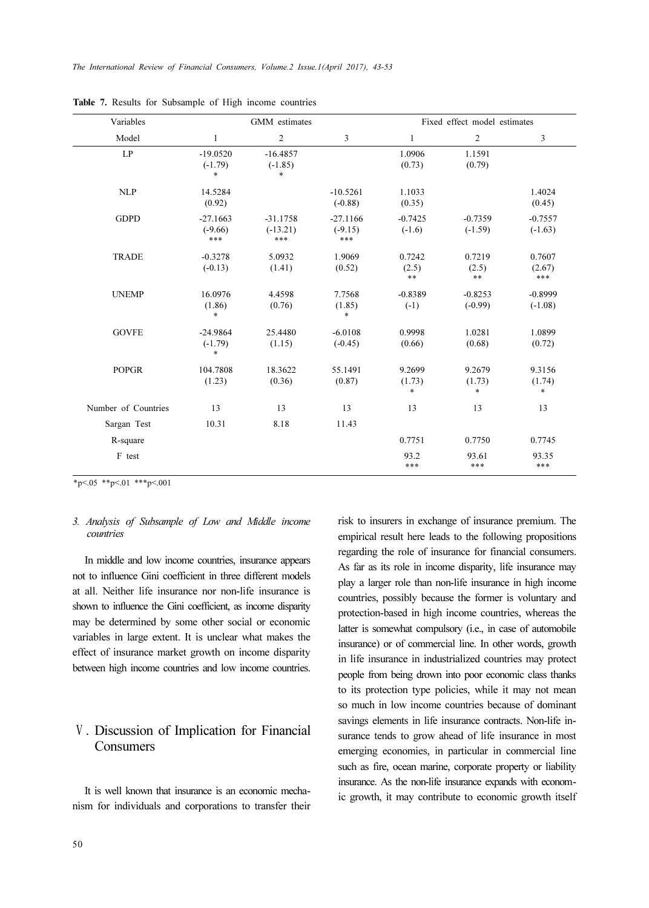| Variables           |                     | GMM estimates       |                    | Fixed effect model estimates |                     |                  |  |
|---------------------|---------------------|---------------------|--------------------|------------------------------|---------------------|------------------|--|
| Model               | $\mathbf{1}$        | $\overline{c}$      | 3                  | $\mathbf{1}$                 | $\overline{c}$      | 3                |  |
| LP                  | $-19.0520$          | $-16.4857$          |                    | 1.0906                       | 1.1591              |                  |  |
|                     | $(-1.79)$<br>$\ast$ | $(-1.85)$<br>$\ast$ |                    | (0.73)                       | (0.79)              |                  |  |
| <b>NLP</b>          | 14.5284             |                     | $-10.5261$         | 1.1033                       |                     | 1.4024           |  |
|                     | (0.92)              |                     | $(-0.88)$          | (0.35)                       |                     | (0.45)           |  |
| <b>GDPD</b>         | $-27.1663$          | $-31.1758$          | $-27.1166$         | $-0.7425$                    | $-0.7359$           | $-0.7557$        |  |
|                     | $(-9.66)$<br>$***$  | $(-13.21)$<br>$***$ | $(-9.15)$<br>$***$ | $(-1.6)$                     | $(-1.59)$           | $(-1.63)$        |  |
| <b>TRADE</b>        | $-0.3278$           | 5.0932              | 1.9069             | 0.7242                       | 0.7219              | 0.7607           |  |
|                     | $(-0.13)$           | (1.41)              | (0.52)             | (2.5)<br>**                  | (2.5)<br>$\ast\ast$ | (2.67)<br>$***$  |  |
| <b>UNEMP</b>        | 16.0976             | 4.4598              | 7.7568             | $-0.8389$                    | $-0.8253$           | $-0.8999$        |  |
|                     | (1.86)<br>$\ast$    | (0.76)              | (1.85)<br>$\ast$   | $(-1)$                       | $(-0.99)$           | $(-1.08)$        |  |
| <b>GOVFE</b>        | $-24.9864$          | 25.4480             | $-6.0108$          | 0.9998                       | 1.0281              | 1.0899           |  |
|                     | $(-1.79)$<br>$\ast$ | (1.15)              | $(-0.45)$          | (0.66)                       | (0.68)              | (0.72)           |  |
| <b>POPGR</b>        | 104.7808            | 18.3622             | 55.1491            | 9.2699                       | 9.2679              | 9.3156           |  |
|                     | (1.23)              | (0.36)              | (0.87)             | (1.73)<br>$\ast$             | (1.73)<br>$\ast$    | (1.74)<br>$\ast$ |  |
| Number of Countries | 13                  | 13                  | 13                 | 13                           | 13                  | 13               |  |
| Sargan Test         | 10.31               | 8.18                | 11.43              |                              |                     |                  |  |
| R-square            |                     |                     |                    | 0.7751                       | 0.7750              | 0.7745           |  |
| F test              |                     |                     |                    | 93.2<br>***                  | 93.61<br>$***$      | 93.35<br>***     |  |

Table 7. Results for Subsample of High income countries

 $*_{p<.05}$   $*_{p<.01}$   $*_{p<.001}$ 

#### 3. Analysis of Subsample of Low and Middle income countries

In middle and low income countries, insurance appears not to influence Gini coefficient in three different models at all. Neither life insurance nor non-life insurance is shown to influence the Gini coefficient, as income disparity may be determined by some other social or economic variables in large extent. It is unclear what makes the effect of insurance market growth on income disparity between high income countries and low income countries.

# Ⅴ. Discussion of Implication for Financial **Consumers**

It is well known that insurance is an economic mechanism for individuals and corporations to transfer their risk to insurers in exchange of insurance premium. The empirical result here leads to the following propositions regarding the role of insurance for financial consumers. As far as its role in income disparity, life insurance may play a larger role than non-life insurance in high income countries, possibly because the former is voluntary and protection-based in high income countries, whereas the latter is somewhat compulsory (i.e., in case of automobile insurance) or of commercial line. In other words, growth in life insurance in industrialized countries may protect people from being drown into poor economic class thanks to its protection type policies, while it may not mean so much in low income countries because of dominant savings elements in life insurance contracts. Non-life insurance tends to grow ahead of life insurance in most emerging economies, in particular in commercial line such as fire, ocean marine, corporate property or liability insurance. As the non-life insurance expands with economic growth, it may contribute to economic growth itself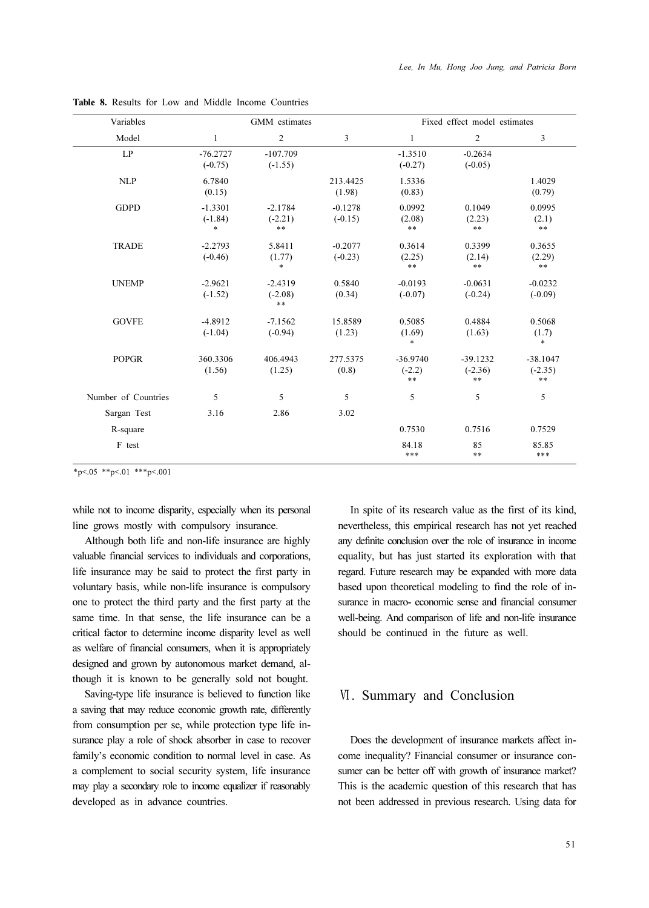| Variables           |                                  | GMM estimates                        |                        | Fixed effect model estimates   |                                |                                  |  |
|---------------------|----------------------------------|--------------------------------------|------------------------|--------------------------------|--------------------------------|----------------------------------|--|
| Model               | $\mathbf{1}$                     | $\overline{2}$                       | $\overline{3}$         | $\mathbf{1}$                   | $\overline{2}$                 | $\overline{3}$                   |  |
| LP                  | $-76.2727$<br>$(-0.75)$          | $-107.709$<br>$(-1.55)$              |                        | $-1.3510$<br>$(-0.27)$         | $-0.2634$<br>$(-0.05)$         |                                  |  |
| NLP                 | 6.7840<br>(0.15)                 |                                      | 213.4425<br>(1.98)     | 1.5336<br>(0.83)               |                                | 1.4029<br>(0.79)                 |  |
| <b>GDPD</b>         | $-1.3301$<br>$(-1.84)$<br>$\ast$ | $-2.1784$<br>$(-2.21)$<br>$\ast\ast$ | $-0.1278$<br>$(-0.15)$ | 0.0992<br>(2.08)<br>$\ast\ast$ | 0.1049<br>(2.23)<br>$\ast\ast$ | 0.0995<br>(2.1)<br>$* *$         |  |
| <b>TRADE</b>        | $-2.2793$<br>$(-0.46)$           | 5.8411<br>(1.77)<br>*                | $-0.2077$<br>$(-0.23)$ | 0.3614<br>(2.25)<br>$* *$      | 0.3399<br>(2.14)<br>$**$       | 0.3655<br>(2.29)<br>$\ast\ast$   |  |
| <b>UNEMP</b>        | $-2.9621$<br>$(-1.52)$           | $-2.4319$<br>$(-2.08)$<br>$\ast\ast$ | 0.5840<br>(0.34)       | $-0.0193$<br>$(-0.07)$         | $-0.0631$<br>$(-0.24)$         | $-0.0232$<br>$(-0.09)$           |  |
| <b>GOVFE</b>        | $-4.8912$<br>$(-1.04)$           | $-7.1562$<br>$(-0.94)$               | 15.8589<br>(1.23)      | 0.5085<br>(1.69)<br>$\ast$     | 0.4884<br>(1.63)               | 0.5068<br>(1.7)<br>$\ast$        |  |
| <b>POPGR</b>        | 360.3306<br>(1.56)               | 406.4943<br>(1.25)                   | 277.5375<br>(0.8)      | $-36.9740$<br>$(-2.2)$<br>**   | $-39.1232$<br>$(-2.36)$<br>**  | $-38.1047$<br>$(-2.35)$<br>$* *$ |  |
| Number of Countries | 5                                | 5                                    | 5                      | 5                              | 5                              | 5                                |  |
| Sargan Test         | 3.16                             | 2.86                                 | 3.02                   |                                |                                |                                  |  |
| R-square            |                                  |                                      |                        | 0.7530                         | 0.7516                         | 0.7529                           |  |
| F test              |                                  |                                      |                        | 84.18<br>$***$                 | 85<br>$\ast\ast$               | 85.85<br>***                     |  |

Table 8. Results for Low and Middle Income Countries

 $*_{p<.05}$   $*_{p<.01}$   $*_{p<.001}$ 

while not to income disparity, especially when its personal line grows mostly with compulsory insurance.

Although both life and non-life insurance are highly valuable financial services to individuals and corporations, life insurance may be said to protect the first party in voluntary basis, while non-life insurance is compulsory one to protect the third party and the first party at the same time. In that sense, the life insurance can be a critical factor to determine income disparity level as well as welfare of financial consumers, when it is appropriately designed and grown by autonomous market demand, although it is known to be generally sold not bought.

Saving-type life insurance is believed to function like a saving that may reduce economic growth rate, differently from consumption per se, while protection type life insurance play a role of shock absorber in case to recover family's economic condition to normal level in case. As a complement to social security system, life insurance may play a secondary role to income equalizer if reasonably developed as in advance countries.

In spite of its research value as the first of its kind, nevertheless, this empirical research has not yet reached any definite conclusion over the role of insurance in income equality, but has just started its exploration with that regard. Future research may be expanded with more data based upon theoretical modeling to find the role of insurance in macro- economic sense and financial consumer well-being. And comparison of life and non-life insurance should be continued in the future as well.

#### Ⅵ. Summary and Conclusion

Does the development of insurance markets affect income inequality? Financial consumer or insurance consumer can be better off with growth of insurance market? This is the academic question of this research that has not been addressed in previous research. Using data for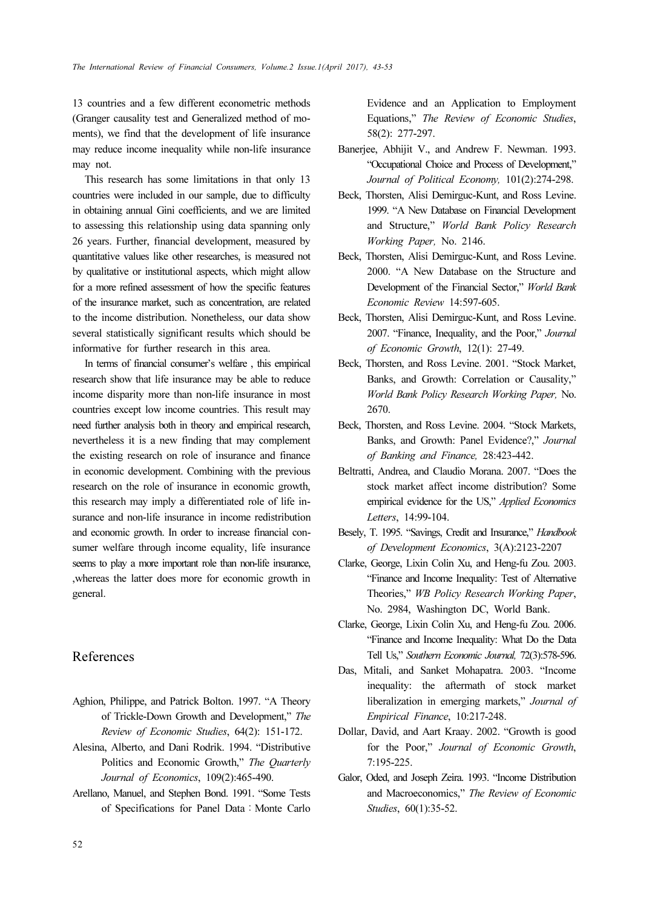13 countries and a few different econometric methods (Granger causality test and Generalized method of moments), we find that the development of life insurance may reduce income inequality while non-life insurance may not.

This research has some limitations in that only 13 countries were included in our sample, due to difficulty in obtaining annual Gini coefficients, and we are limited to assessing this relationship using data spanning only 26 years. Further, financial development, measured by quantitative values like other researches, is measured not by qualitative or institutional aspects, which might allow for a more refined assessment of how the specific features of the insurance market, such as concentration, are related to the income distribution. Nonetheless, our data show several statistically significant results which should be informative for further research in this area.

In terms of financial consumer's welfare , this empirical research show that life insurance may be able to reduce income disparity more than non-life insurance in most countries except low income countries. This result may need further analysis both in theory and empirical research, nevertheless it is a new finding that may complement the existing research on role of insurance and finance in economic development. Combining with the previous research on the role of insurance in economic growth, this research may imply a differentiated role of life insurance and non-life insurance in income redistribution and economic growth. In order to increase financial consumer welfare through income equality, life insurance seems to play a more important role than non-life insurance, ,whereas the latter does more for economic growth in general.

# References

- Aghion, Philippe, and Patrick Bolton. 1997. "A Theory of Trickle-Down Growth and Development," The Review of Economic Studies, 64(2): 151-172.
- Alesina, Alberto, and Dani Rodrik. 1994. "Distributive Politics and Economic Growth," The Quarterly Journal of Economics, 109(2):465-490.
- Arellano, Manuel, and Stephen Bond. 1991. "Some Tests of Specifications for Panel Data: Monte Carlo

Evidence and an Application to Employment Equations," The Review of Economic Studies, 58(2): 277-297.

- Banerjee, Abhijit V., and Andrew F. Newman. 1993. "Occupational Choice and Process of Development," Journal of Political Economy, 101(2):274-298.
- Beck, Thorsten, Alisi Demirguc-Kunt, and Ross Levine. 1999. "A New Database on Financial Development and Structure," World Bank Policy Research Working Paper, No. 2146.
- Beck, Thorsten, Alisi Demirguc-Kunt, and Ross Levine. 2000. "A New Database on the Structure and Development of the Financial Sector," World Bank Economic Review 14:597-605.
- Beck, Thorsten, Alisi Demirguc-Kunt, and Ross Levine. 2007. "Finance, Inequality, and the Poor," Journal of Economic Growth, 12(1): 27-49.
- Beck, Thorsten, and Ross Levine. 2001. "Stock Market, Banks, and Growth: Correlation or Causality," World Bank Policy Research Working Paper, No. 2670.
- Beck, Thorsten, and Ross Levine. 2004. "Stock Markets, Banks, and Growth: Panel Evidence?," Journal of Banking and Finance, 28:423-442.
- Beltratti, Andrea, and Claudio Morana. 2007. "Does the stock market affect income distribution? Some empirical evidence for the US," Applied Economics Letters, 14:99-104.
- Besely, T. 1995. "Savings, Credit and Insurance," Handbook of Development Economics, 3(A):2123-2207
- Clarke, George, Lixin Colin Xu, and Heng-fu Zou. 2003. "Finance and Income Inequality: Test of Alternative Theories," WB Policy Research Working Paper, No. 2984, Washington DC, World Bank.
- Clarke, George, Lixin Colin Xu, and Heng-fu Zou. 2006. "Finance and Income Inequality: What Do the Data Tell Us," Southern Economic Journal, 72(3):578-596.
- Das, Mitali, and Sanket Mohapatra. 2003. "Income inequality: the aftermath of stock market liberalization in emerging markets," Journal of Empirical Finance, 10:217-248.
- Dollar, David, and Aart Kraay. 2002. "Growth is good for the Poor," Journal of Economic Growth, 7:195-225.
- Galor, Oded, and Joseph Zeira. 1993. "Income Distribution and Macroeconomics," The Review of Economic Studies, 60(1):35-52.